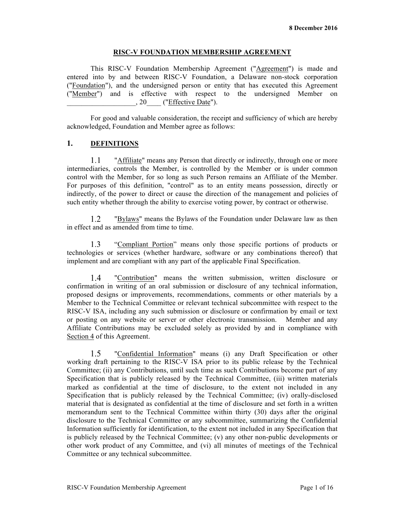### **RISC-V FOUNDATION MEMBERSHIP AGREEMENT**

This RISC-V Foundation Membership Agreement ("Agreement") is made and entered into by and between RISC-V Foundation, a Delaware non-stock corporation ("Foundation"), and the undersigned person or entity that has executed this Agreement ("Member") and is effective with respect to the undersigned Member on \_\_\_\_\_\_\_\_\_\_\_\_\_\_\_\_\_\_\_, 20\_\_\_\_ ("Effective Date").

For good and valuable consideration, the receipt and sufficiency of which are hereby acknowledged, Foundation and Member agree as follows:

# **1. DEFINITIONS**

 $1.1$ "Affiliate" means any Person that directly or indirectly, through one or more intermediaries, controls the Member, is controlled by the Member or is under common control with the Member, for so long as such Person remains an Affiliate of the Member. For purposes of this definition, "control" as to an entity means possession, directly or indirectly, of the power to direct or cause the direction of the management and policies of such entity whether through the ability to exercise voting power, by contract or otherwise.

"Bylaws" means the Bylaws of the Foundation under Delaware law as then 1.2 in effect and as amended from time to time.

"Compliant Portion" means only those specific portions of products or  $1.3$ technologies or services (whether hardware, software or any combinations thereof) that implement and are compliant with any part of the applicable Final Specification.

 $1.4$ "Contribution" means the written submission, written disclosure or confirmation in writing of an oral submission or disclosure of any technical information, proposed designs or improvements, recommendations, comments or other materials by a Member to the Technical Committee or relevant technical subcommittee with respect to the RISC-V ISA, including any such submission or disclosure or confirmation by email or text or posting on any website or server or other electronic transmission. Member and any Affiliate Contributions may be excluded solely as provided by and in compliance with Section 4 of this Agreement.

 $1.5$ "Confidential Information" means (i) any Draft Specification or other working draft pertaining to the RISC-V ISA prior to its public release by the Technical Committee; (ii) any Contributions, until such time as such Contributions become part of any Specification that is publicly released by the Technical Committee, (iii) written materials marked as confidential at the time of disclosure, to the extent not included in any Specification that is publicly released by the Technical Committee; (iv) orally-disclosed material that is designated as confidential at the time of disclosure and set forth in a written memorandum sent to the Technical Committee within thirty (30) days after the original disclosure to the Technical Committee or any subcommittee, summarizing the Confidential Information sufficiently for identification, to the extent not included in any Specification that is publicly released by the Technical Committee; (v) any other non-public developments or other work product of any Committee, and (vi) all minutes of meetings of the Technical Committee or any technical subcommittee.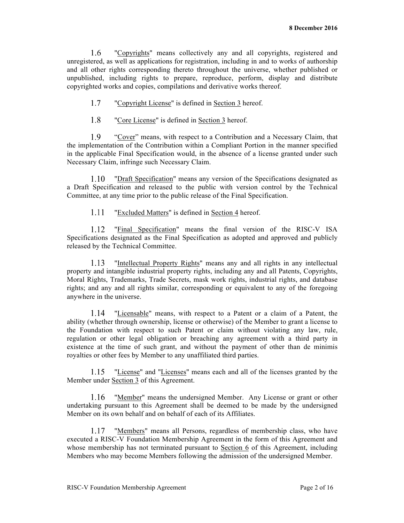"Copyrights" means collectively any and all copyrights, registered and 1.6 unregistered, as well as applications for registration, including in and to works of authorship and all other rights corresponding thereto throughout the universe, whether published or unpublished, including rights to prepare, reproduce, perform, display and distribute copyrighted works and copies, compilations and derivative works thereof.

- $1.7$ "Copyright License" is defined in Section 3 hereof.
- 1.8 "Core License" is defined in Section 3 hereof.

1.9 "Cover" means, with respect to a Contribution and a Necessary Claim, that the implementation of the Contribution within a Compliant Portion in the manner specified in the applicable Final Specification would, in the absence of a license granted under such Necessary Claim, infringe such Necessary Claim.

1.10 "Draft Specification" means any version of the Specifications designated as a Draft Specification and released to the public with version control by the Technical Committee, at any time prior to the public release of the Final Specification.

 $1.11$ "Excluded Matters" is defined in Section 4 hereof.

1.12 "Final Specification" means the final version of the RISC-V ISA Specifications designated as the Final Specification as adopted and approved and publicly released by the Technical Committee.

1.13 "Intellectual Property Rights" means any and all rights in any intellectual property and intangible industrial property rights, including any and all Patents, Copyrights, Moral Rights, Trademarks, Trade Secrets, mask work rights, industrial rights, and database rights; and any and all rights similar, corresponding or equivalent to any of the foregoing anywhere in the universe.

"Licensable" means, with respect to a Patent or a claim of a Patent, the 1.14 ability (whether through ownership, license or otherwise) of the Member to grant a license to the Foundation with respect to such Patent or claim without violating any law, rule, regulation or other legal obligation or breaching any agreement with a third party in existence at the time of such grant, and without the payment of other than de minimis royalties or other fees by Member to any unaffiliated third parties.

1.15 "License" and "Licenses" means each and all of the licenses granted by the Member under Section 3 of this Agreement.

"Member" means the undersigned Member. Any License or grant or other 1.16 undertaking pursuant to this Agreement shall be deemed to be made by the undersigned Member on its own behalf and on behalf of each of its Affiliates.

1.17 "Members" means all Persons, regardless of membership class, who have executed a RISC-V Foundation Membership Agreement in the form of this Agreement and whose membership has not terminated pursuant to Section 6 of this Agreement, including Members who may become Members following the admission of the undersigned Member.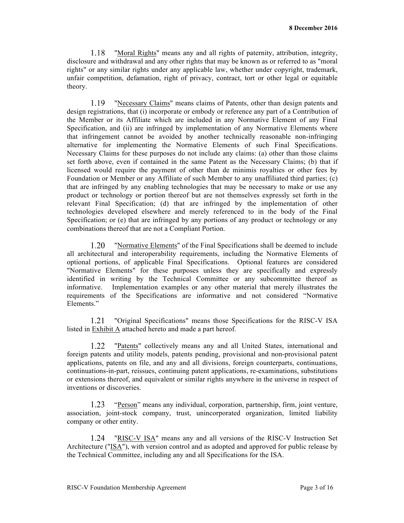1.18 "Moral Rights" means any and all rights of paternity, attribution, integrity, disclosure and withdrawal and any other rights that may be known as or referred to as "moral rights" or any similar rights under any applicable law, whether under copyright, trademark, unfair competition, defamation, right of privacy, contract, tort or other legal or equitable theory.

1.19 "Necessary Claims" means claims of Patents, other than design patents and design registrations, that (i) incorporate or embody or reference any part of a Contribution of the Member or its Affiliate which are included in any Normative Element of any Final Specification, and (ii) are infringed by implementation of any Normative Elements where that infringement cannot be avoided by another technically reasonable non-infringing alternative for implementing the Normative Elements of such Final Specifications. Necessary Claims for these purposes do not include any claims: (a) other than those claims set forth above, even if contained in the same Patent as the Necessary Claims; (b) that if licensed would require the payment of other than de minimis royalties or other fees by Foundation or Member or any Affiliate of such Member to any unaffiliated third parties; (c) that are infringed by any enabling technologies that may be necessary to make or use any product or technology or portion thereof but are not themselves expressly set forth in the relevant Final Specification; (d) that are infringed by the implementation of other technologies developed elsewhere and merely referenced to in the body of the Final Specification; or (e) that are infringed by any portions of any product or technology or any combinations thereof that are not a Compliant Portion.

1.20 "Normative Elements" of the Final Specifications shall be deemed to include all architectural and interoperability requirements, including the Normative Elements of optional portions, of applicable Final Specifications. Optional features are considered "Normative Elements" for these purposes unless they are specifically and expressly identified in writing by the Technical Committee or any subcommittee thereof as informative. Implementation examples or any other material that merely illustrates the requirements of the Specifications are informative and not considered "Normative Elements<sup>"</sup>

"Original Specifications" means those Specifications for the RISC-V ISA  $1.21$ listed in Exhibit A attached hereto and made a part hereof.

"Patents" collectively means any and all United States, international and 1.22 foreign patents and utility models, patents pending, provisional and non-provisional patent applications, patents on file, and any and all divisions, foreign counterparts, continuations, continuations-in-part, reissues, continuing patent applications, re-examinations, substitutions or extensions thereof, and equivalent or similar rights anywhere in the universe in respect of inventions or discoveries.

 $1.23$ "Person" means any individual, corporation, partnership, firm, joint venture, association, joint-stock company, trust, unincorporated organization, limited liability company or other entity.

1.24 "RISC-V ISA" means any and all versions of the RISC-V Instruction Set Architecture ("ISA"), with version control and as adopted and approved for public release by the Technical Committee, including any and all Specifications for the ISA.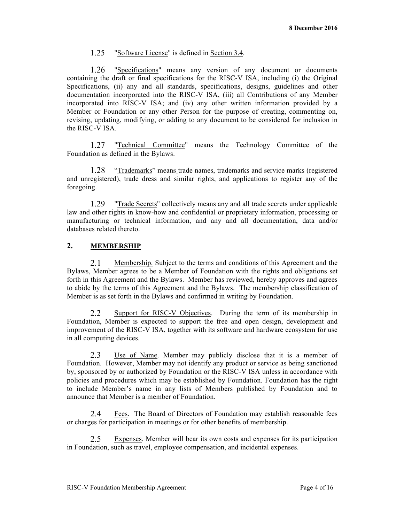#### $1.25$ "Software License" is defined in Section 3.4.

1.26 "Specifications" means any version of any document or documents containing the draft or final specifications for the RISC-V ISA, including (i) the Original Specifications, (ii) any and all standards, specifications, designs, guidelines and other documentation incorporated into the RISC-V ISA, (iii) all Contributions of any Member incorporated into RISC-V ISA; and (iv) any other written information provided by a Member or Foundation or any other Person for the purpose of creating, commenting on, revising, updating, modifying, or adding to any document to be considered for inclusion in the RISC-V ISA.

 $1.27$ "Technical Committee" means the Technology Committee of the Foundation as defined in the Bylaws.

1.28 "Trademarks" means trade names, trademarks and service marks (registered and unregistered), trade dress and similar rights, and applications to register any of the foregoing.

1.29 "Trade Secrets" collectively means any and all trade secrets under applicable law and other rights in know-how and confidential or proprietary information, processing or manufacturing or technical information, and any and all documentation, data and/or databases related thereto.

# **2. MEMBERSHIP**

2.1 Membership. Subject to the terms and conditions of this Agreement and the Bylaws, Member agrees to be a Member of Foundation with the rights and obligations set forth in this Agreement and the Bylaws. Member has reviewed, hereby approves and agrees to abide by the terms of this Agreement and the Bylaws. The membership classification of Member is as set forth in the Bylaws and confirmed in writing by Foundation.

 $2.2^{\circ}$ Support for RISC-V Objectives.During the term of its membership in Foundation, Member is expected to support the free and open design, development and improvement of the RISC-V ISA, together with its software and hardware ecosystem for use in all computing devices.

Use of Name. Member may publicly disclose that it is a member of 2.3 Foundation. However, Member may not identify any product or service as being sanctioned by, sponsored by or authorized by Foundation or the RISC-V ISA unless in accordance with policies and procedures which may be established by Foundation. Foundation has the right to include Member's name in any lists of Members published by Foundation and to announce that Member is a member of Foundation.

Fees. The Board of Directors of Foundation may establish reasonable fees  $2.4^{\circ}$ or charges for participation in meetings or for other benefits of membership.

 $2.5$ Expenses. Member will bear its own costs and expenses for its participation in Foundation, such as travel, employee compensation, and incidental expenses.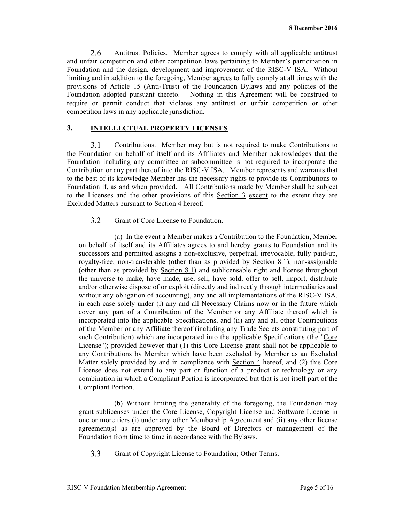2.6 Antitrust Policies. Member agrees to comply with all applicable antitrust and unfair competition and other competition laws pertaining to Member's participation in Foundation and the design, development and improvement of the RISC-V ISA. Without limiting and in addition to the foregoing, Member agrees to fully comply at all times with the provisions of Article 15 (Anti-Trust) of the Foundation Bylaws and any policies of the Foundation adopted pursuant thereto. Nothing in this Agreement will be construed to require or permit conduct that violates any antitrust or unfair competition or other competition laws in any applicable jurisdiction.

### **3. INTELLECTUAL PROPERTY LICENSES**

 $3.1$ Contributions. Member may but is not required to make Contributions to the Foundation on behalf of itself and its Affiliates and Member acknowledges that the Foundation including any committee or subcommittee is not required to incorporate the Contribution or any part thereof into the RISC-V ISA. Member represents and warrants that to the best of its knowledge Member has the necessary rights to provide its Contributions to Foundation if, as and when provided. All Contributions made by Member shall be subject to the Licenses and the other provisions of this Section 3 except to the extent they are Excluded Matters pursuant to Section 4 hereof.

#### $3.2$ Grant of Core License to Foundation.

(a) In the event a Member makes a Contribution to the Foundation, Member on behalf of itself and its Affiliates agrees to and hereby grants to Foundation and its successors and permitted assigns a non-exclusive, perpetual, irrevocable, fully paid-up, royalty-free, non-transferable (other than as provided by Section 8.1), non-assignable (other than as provided by Section 8.1) and sublicensable right and license throughout the universe to make, have made, use, sell, have sold, offer to sell, import, distribute and/or otherwise dispose of or exploit (directly and indirectly through intermediaries and without any obligation of accounting), any and all implementations of the RISC-V ISA, in each case solely under (i) any and all Necessary Claims now or in the future which cover any part of a Contribution of the Member or any Affiliate thereof which is incorporated into the applicable Specifications, and (ii) any and all other Contributions of the Member or any Affiliate thereof (including any Trade Secrets constituting part of such Contribution) which are incorporated into the applicable Specifications (the "Core License"); provided however that (1) this Core License grant shall not be applicable to any Contributions by Member which have been excluded by Member as an Excluded Matter solely provided by and in compliance with Section 4 hereof, and (2) this Core License does not extend to any part or function of a product or technology or any combination in which a Compliant Portion is incorporated but that is not itself part of the Compliant Portion.

(b) Without limiting the generality of the foregoing, the Foundation may grant sublicenses under the Core License, Copyright License and Software License in one or more tiers (i) under any other Membership Agreement and (ii) any other license agreement(s) as are approved by the Board of Directors or management of the Foundation from time to time in accordance with the Bylaws.

 $3.3$ Grant of Copyright License to Foundation; Other Terms.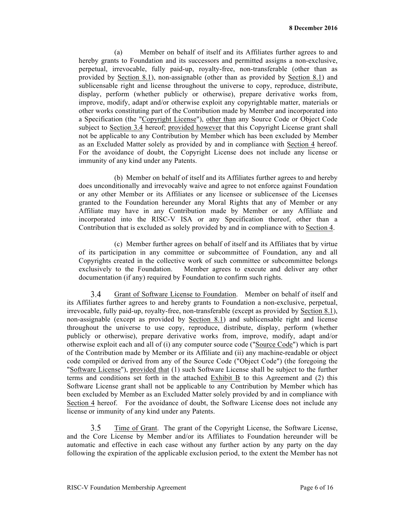(a) Member on behalf of itself and its Affiliates further agrees to and hereby grants to Foundation and its successors and permitted assigns a non-exclusive, perpetual, irrevocable, fully paid-up, royalty-free, non-transferable (other than as provided by Section 8.1), non-assignable (other than as provided by Section 8.1) and sublicensable right and license throughout the universe to copy, reproduce, distribute, display, perform (whether publicly or otherwise), prepare derivative works from, improve, modify, adapt and/or otherwise exploit any copyrightable matter, materials or other works constituting part of the Contribution made by Member and incorporated into a Specification (the "Copyright License"), other than any Source Code or Object Code subject to Section 3.4 hereof; provided however that this Copyright License grant shall not be applicable to any Contribution by Member which has been excluded by Member as an Excluded Matter solely as provided by and in compliance with Section 4 hereof. For the avoidance of doubt, the Copyright License does not include any license or immunity of any kind under any Patents.

(b) Member on behalf of itself and its Affiliates further agrees to and hereby does unconditionally and irrevocably waive and agree to not enforce against Foundation or any other Member or its Affiliates or any licensee or sublicensee of the Licenses granted to the Foundation hereunder any Moral Rights that any of Member or any Affiliate may have in any Contribution made by Member or any Affiliate and incorporated into the RISC-V ISA or any Specification thereof, other than a Contribution that is excluded as solely provided by and in compliance with to Section 4.

(c) Member further agrees on behalf of itself and its Affiliates that by virtue of its participation in any committee or subcommittee of Foundation, any and all Copyrights created in the collective work of such committee or subcommittee belongs exclusively to the Foundation. Member agrees to execute and deliver any other documentation (if any) required by Foundation to confirm such rights.

 $3.4$ Grant of Software License to Foundation. Member on behalf of itself and its Affiliates further agrees to and hereby grants to Foundation a non-exclusive, perpetual, irrevocable, fully paid-up, royalty-free, non-transferable (except as provided by Section 8.1), non-assignable (except as provided by Section 8.1) and sublicensable right and license throughout the universe to use copy, reproduce, distribute, display, perform (whether publicly or otherwise), prepare derivative works from, improve, modify, adapt and/or otherwise exploit each and all of (i) any computer source code ("Source Code") which is part of the Contribution made by Member or its Affiliate and (ii) any machine-readable or object code compiled or derived from any of the Source Code ("Object Code") (the foregoing the "Software License"), provided that (1) such Software License shall be subject to the further terms and conditions set forth in the attached Exhibit B to this Agreement and (2) this Software License grant shall not be applicable to any Contribution by Member which has been excluded by Member as an Excluded Matter solely provided by and in compliance with Section 4 hereof. For the avoidance of doubt, the Software License does not include any license or immunity of any kind under any Patents.

 $3.5$ Time of Grant. The grant of the Copyright License, the Software License, and the Core License by Member and/or its Affiliates to Foundation hereunder will be automatic and effective in each case without any further action by any party on the day following the expiration of the applicable exclusion period, to the extent the Member has not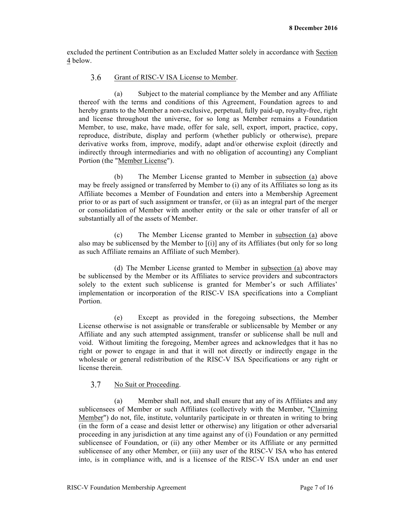excluded the pertinent Contribution as an Excluded Matter solely in accordance with Section 4 below.

#### $3.6$ Grant of RISC-V ISA License to Member.

(a) Subject to the material compliance by the Member and any Affiliate thereof with the terms and conditions of this Agreement, Foundation agrees to and hereby grants to the Member a non-exclusive, perpetual, fully paid-up, royalty-free, right and license throughout the universe, for so long as Member remains a Foundation Member, to use, make, have made, offer for sale, sell, export, import, practice, copy, reproduce, distribute, display and perform (whether publicly or otherwise), prepare derivative works from, improve, modify, adapt and/or otherwise exploit (directly and indirectly through intermediaries and with no obligation of accounting) any Compliant Portion (the "Member License").

(b) The Member License granted to Member in subsection (a) above may be freely assigned or transferred by Member to (i) any of its Affiliates so long as its Affiliate becomes a Member of Foundation and enters into a Membership Agreement prior to or as part of such assignment or transfer, or (ii) as an integral part of the merger or consolidation of Member with another entity or the sale or other transfer of all or substantially all of the assets of Member.

(c) The Member License granted to Member in subsection (a) above also may be sublicensed by the Member to  $[(i)]$  any of its Affiliates (but only for so long as such Affiliate remains an Affiliate of such Member).

(d) The Member License granted to Member in subsection (a) above may be sublicensed by the Member or its Affiliates to service providers and subcontractors solely to the extent such sublicense is granted for Member's or such Affiliates' implementation or incorporation of the RISC-V ISA specifications into a Compliant Portion.

(e) Except as provided in the foregoing subsections, the Member License otherwise is not assignable or transferable or sublicensable by Member or any Affiliate and any such attempted assignment, transfer or sublicense shall be null and void. Without limiting the foregoing, Member agrees and acknowledges that it has no right or power to engage in and that it will not directly or indirectly engage in the wholesale or general redistribution of the RISC-V ISA Specifications or any right or license therein.

#### 3.7 No Suit or Proceeding.

(a) Member shall not, and shall ensure that any of its Affiliates and any sublicensees of Member or such Affiliates (collectively with the Member, "Claiming Member") do not, file, institute, voluntarily participate in or threaten in writing to bring (in the form of a cease and desist letter or otherwise) any litigation or other adversarial proceeding in any jurisdiction at any time against any of (i) Foundation or any permitted sublicensee of Foundation, or (ii) any other Member or its Affiliate or any permitted sublicensee of any other Member, or (iii) any user of the RISC-V ISA who has entered into, is in compliance with, and is a licensee of the RISC-V ISA under an end user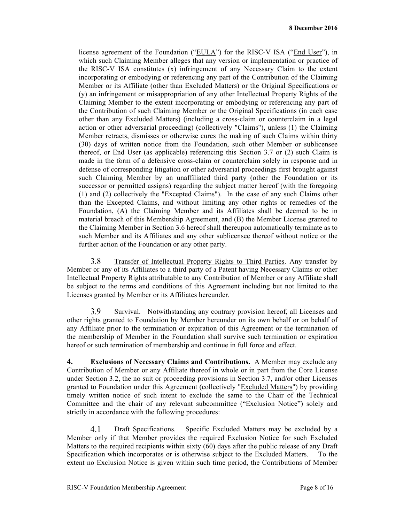license agreement of the Foundation ("EULA") for the RISC-V ISA ("End User"), in which such Claiming Member alleges that any version or implementation or practice of the RISC-V ISA constitutes (x) infringement of any Necessary Claim to the extent incorporating or embodying or referencing any part of the Contribution of the Claiming Member or its Affiliate (other than Excluded Matters) or the Original Specifications or (y) an infringement or misappropriation of any other Intellectual Property Rights of the Claiming Member to the extent incorporating or embodying or referencing any part of the Contribution of such Claiming Member or the Original Specifications (in each case other than any Excluded Matters) (including a cross-claim or counterclaim in a legal action or other adversarial proceeding) (collectively "Claims"), unless (1) the Claiming Member retracts, dismisses or otherwise cures the making of such Claims within thirty (30) days of written notice from the Foundation, such other Member or sublicensee thereof, or End User (as applicable) referencing this Section 3.7 or (2) such Claim is made in the form of a defensive cross-claim or counterclaim solely in response and in defense of corresponding litigation or other adversarial proceedings first brought against such Claiming Member by an unaffiliated third party (other the Foundation or its successor or permitted assigns) regarding the subject matter hereof (with the foregoing (1) and (2) collectively the "Excepted Claims"). In the case of any such Claims other than the Excepted Claims, and without limiting any other rights or remedies of the Foundation, (A) the Claiming Member and its Affiliates shall be deemed to be in material breach of this Membership Agreement, and (B) the Member License granted to the Claiming Member in Section 3.6 hereof shall thereupon automatically terminate as to such Member and its Affiliates and any other sublicensee thereof without notice or the further action of the Foundation or any other party.

3.8 Transfer of Intellectual Property Rights to Third Parties. Any transfer by Member or any of its Affiliates to a third party of a Patent having Necessary Claims or other Intellectual Property Rights attributable to any Contribution of Member or any Affiliate shall be subject to the terms and conditions of this Agreement including but not limited to the Licenses granted by Member or its Affiliates hereunder.

3.9 Survival. Notwithstanding any contrary provision hereof, all Licenses and other rights granted to Foundation by Member hereunder on its own behalf or on behalf of any Affiliate prior to the termination or expiration of this Agreement or the termination of the membership of Member in the Foundation shall survive such termination or expiration hereof or such termination of membership and continue in full force and effect.

**4. Exclusions of Necessary Claims and Contributions.** A Member may exclude any Contribution of Member or any Affiliate thereof in whole or in part from the Core License under Section 3.2, the no suit or proceeding provisions in Section 3.7, and/or other Licenses granted to Foundation under this Agreement (collectively "Excluded Matters") by providing timely written notice of such intent to exclude the same to the Chair of the Technical Committee and the chair of any relevant subcommittee ("Exclusion Notice") solely and strictly in accordance with the following procedures:

4.1 Draft Specifications. Specific Excluded Matters may be excluded by a Member only if that Member provides the required Exclusion Notice for such Excluded Matters to the required recipients within sixty (60) days after the public release of any Draft Specification which incorporates or is otherwise subject to the Excluded Matters. To the extent no Exclusion Notice is given within such time period, the Contributions of Member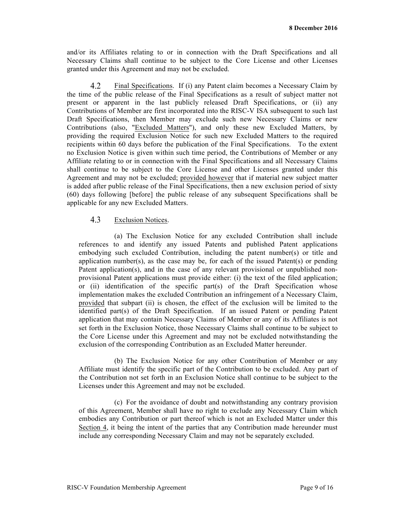and/or its Affiliates relating to or in connection with the Draft Specifications and all Necessary Claims shall continue to be subject to the Core License and other Licenses granted under this Agreement and may not be excluded.

4.2 Final Specifications. If (i) any Patent claim becomes a Necessary Claim by the time of the public release of the Final Specifications as a result of subject matter not present or apparent in the last publicly released Draft Specifications, or (ii) any Contributions of Member are first incorporated into the RISC-V ISA subsequent to such last Draft Specifications, then Member may exclude such new Necessary Claims or new Contributions (also, "Excluded Matters"), and only these new Excluded Matters, by providing the required Exclusion Notice for such new Excluded Matters to the required recipients within 60 days before the publication of the Final Specifications. To the extent no Exclusion Notice is given within such time period, the Contributions of Member or any Affiliate relating to or in connection with the Final Specifications and all Necessary Claims shall continue to be subject to the Core License and other Licenses granted under this Agreement and may not be excluded; provided however that if material new subject matter is added after public release of the Final Specifications, then a new exclusion period of sixty (60) days following [before] the public release of any subsequent Specifications shall be applicable for any new Excluded Matters.

#### 4.3 Exclusion Notices.

(a) The Exclusion Notice for any excluded Contribution shall include references to and identify any issued Patents and published Patent applications embodying such excluded Contribution, including the patent number(s) or title and application number(s), as the case may be, for each of the issued Patent(s) or pending Patent application(s), and in the case of any relevant provisional or unpublished nonprovisional Patent applications must provide either: (i) the text of the filed application; or (ii) identification of the specific part(s) of the Draft Specification whose implementation makes the excluded Contribution an infringement of a Necessary Claim, provided that subpart (ii) is chosen, the effect of the exclusion will be limited to the identified part(s) of the Draft Specification. If an issued Patent or pending Patent application that may contain Necessary Claims of Member or any of its Affiliates is not set forth in the Exclusion Notice, those Necessary Claims shall continue to be subject to the Core License under this Agreement and may not be excluded notwithstanding the exclusion of the corresponding Contribution as an Excluded Matter hereunder.

(b) The Exclusion Notice for any other Contribution of Member or any Affiliate must identify the specific part of the Contribution to be excluded. Any part of the Contribution not set forth in an Exclusion Notice shall continue to be subject to the Licenses under this Agreement and may not be excluded.

(c) For the avoidance of doubt and notwithstanding any contrary provision of this Agreement, Member shall have no right to exclude any Necessary Claim which embodies any Contribution or part thereof which is not an Excluded Matter under this Section 4, it being the intent of the parties that any Contribution made hereunder must include any corresponding Necessary Claim and may not be separately excluded.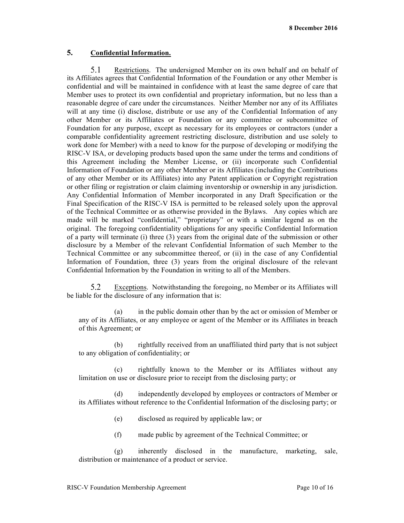# **5. Confidential Information.**

5.1 Restrictions. The undersigned Member on its own behalf and on behalf of its Affiliates agrees that Confidential Information of the Foundation or any other Member is confidential and will be maintained in confidence with at least the same degree of care that Member uses to protect its own confidential and proprietary information, but no less than a reasonable degree of care under the circumstances. Neither Member nor any of its Affiliates will at any time (i) disclose, distribute or use any of the Confidential Information of any other Member or its Affiliates or Foundation or any committee or subcommittee of Foundation for any purpose, except as necessary for its employees or contractors (under a comparable confidentiality agreement restricting disclosure, distribution and use solely to work done for Member) with a need to know for the purpose of developing or modifying the RISC-V ISA, or developing products based upon the same under the terms and conditions of this Agreement including the Member License, or (ii) incorporate such Confidential Information of Foundation or any other Member or its Affiliates (including the Contributions of any other Member or its Affiliates) into any Patent application or Copyright registration or other filing or registration or claim claiming inventorship or ownership in any jurisdiction. Any Confidential Information of Member incorporated in any Draft Specification or the Final Specification of the RISC-V ISA is permitted to be released solely upon the approval of the Technical Committee or as otherwise provided in the Bylaws. Any copies which are made will be marked "confidential," "proprietary" or with a similar legend as on the original. The foregoing confidentiality obligations for any specific Confidential Information of a party will terminate (i) three (3) years from the original date of the submission or other disclosure by a Member of the relevant Confidential Information of such Member to the Technical Committee or any subcommittee thereof, or (ii) in the case of any Confidential Information of Foundation, three (3) years from the original disclosure of the relevant Confidential Information by the Foundation in writing to all of the Members.

5.2 Exceptions. Notwithstanding the foregoing, no Member or its Affiliates will be liable for the disclosure of any information that is:

(a) in the public domain other than by the act or omission of Member or any of its Affiliates, or any employee or agent of the Member or its Affiliates in breach of this Agreement; or

(b) rightfully received from an unaffiliated third party that is not subject to any obligation of confidentiality; or

(c) rightfully known to the Member or its Affiliates without any limitation on use or disclosure prior to receipt from the disclosing party; or

(d) independently developed by employees or contractors of Member or its Affiliates without reference to the Confidential Information of the disclosing party; or

- (e) disclosed as required by applicable law; or
- (f) made public by agreement of the Technical Committee; or

(g) inherently disclosed in the manufacture, marketing, sale, distribution or maintenance of a product or service.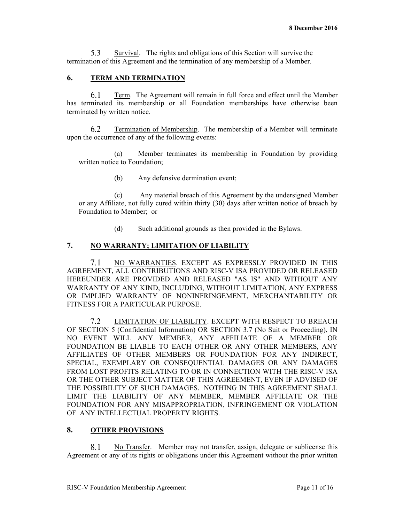5.3 Survival. The rights and obligations of this Section will survive the termination of this Agreement and the termination of any membership of a Member.

# **6. TERM AND TERMINATION**

Term. The Agreement will remain in full force and effect until the Member 6.1 has terminated its membership or all Foundation memberships have otherwise been terminated by written notice.

6.2 Termination of Membership. The membership of a Member will terminate upon the occurrence of any of the following events:

(a) Member terminates its membership in Foundation by providing written notice to Foundation;

(b) Any defensive dermination event;

(c) Any material breach of this Agreement by the undersigned Member or any Affiliate, not fully cured within thirty (30) days after written notice of breach by Foundation to Member; or

(d) Such additional grounds as then provided in the Bylaws.

## **7. NO WARRANTY; LIMITATION OF LIABILITY**

NO WARRANTIES. EXCEPT AS EXPRESSLY PROVIDED IN THIS 7.1 AGREEMENT, ALL CONTRIBUTIONS AND RISC-V ISA PROVIDED OR RELEASED HEREUNDER ARE PROVIDED AND RELEASED "AS IS" AND WITHOUT ANY WARRANTY OF ANY KIND, INCLUDING, WITHOUT LIMITATION, ANY EXPRESS OR IMPLIED WARRANTY OF NONINFRINGEMENT, MERCHANTABILITY OR FITNESS FOR A PARTICULAR PURPOSE.

 $7.2$ LIMITATION OF LIABILITY. EXCEPT WITH RESPECT TO BREACH OF SECTION 5 (Confidential Information) OR SECTION 3.7 (No Suit or Proceeding), IN NO EVENT WILL ANY MEMBER, ANY AFFILIATE OF A MEMBER OR FOUNDATION BE LIABLE TO EACH OTHER OR ANY OTHER MEMBERS, ANY AFFILIATES OF OTHER MEMBERS OR FOUNDATION FOR ANY INDIRECT, SPECIAL, EXEMPLARY OR CONSEQUENTIAL DAMAGES OR ANY DAMAGES FROM LOST PROFITS RELATING TO OR IN CONNECTION WITH THE RISC-V ISA OR THE OTHER SUBJECT MATTER OF THIS AGREEMENT, EVEN IF ADVISED OF THE POSSIBILITY OF SUCH DAMAGES. NOTHING IN THIS AGREEMENT SHALL LIMIT THE LIABILITY OF ANY MEMBER, MEMBER AFFILIATE OR THE FOUNDATION FOR ANY MISAPPROPRIATION, INFRINGEMENT OR VIOLATION OF ANY INTELLECTUAL PROPERTY RIGHTS.

# **8. OTHER PROVISIONS**

8.1 No Transfer. Member may not transfer, assign, delegate or sublicense this Agreement or any of its rights or obligations under this Agreement without the prior written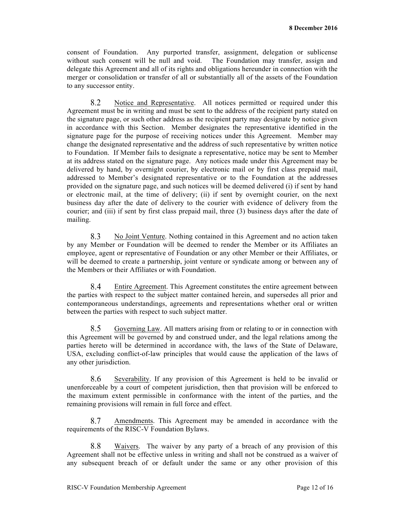consent of Foundation. Any purported transfer, assignment, delegation or sublicense without such consent will be null and void. The Foundation may transfer, assign and delegate this Agreement and all of its rights and obligations hereunder in connection with the merger or consolidation or transfer of all or substantially all of the assets of the Foundation to any successor entity.

Notice and Representative. All notices permitted or required under this 8.2 Agreement must be in writing and must be sent to the address of the recipient party stated on the signature page, or such other address as the recipient party may designate by notice given in accordance with this Section. Member designates the representative identified in the signature page for the purpose of receiving notices under this Agreement. Member may change the designated representative and the address of such representative by written notice to Foundation. If Member fails to designate a representative, notice may be sent to Member at its address stated on the signature page. Any notices made under this Agreement may be delivered by hand, by overnight courier, by electronic mail or by first class prepaid mail, addressed to Member's designated representative or to the Foundation at the addresses provided on the signature page, and such notices will be deemed delivered (i) if sent by hand or electronic mail, at the time of delivery; (ii) if sent by overnight courier, on the next business day after the date of delivery to the courier with evidence of delivery from the courier; and (iii) if sent by first class prepaid mail, three (3) business days after the date of mailing.

8.3 No Joint Venture. Nothing contained in this Agreement and no action taken by any Member or Foundation will be deemed to render the Member or its Affiliates an employee, agent or representative of Foundation or any other Member or their Affiliates, or will be deemed to create a partnership, joint venture or syndicate among or between any of the Members or their Affiliates or with Foundation.

8.4 Entire Agreement. This Agreement constitutes the entire agreement between the parties with respect to the subject matter contained herein, and supersedes all prior and contemporaneous understandings, agreements and representations whether oral or written between the parties with respect to such subject matter.

8.5 Governing Law. All matters arising from or relating to or in connection with this Agreement will be governed by and construed under, and the legal relations among the parties hereto will be determined in accordance with, the laws of the State of Delaware, USA, excluding conflict-of-law principles that would cause the application of the laws of any other jurisdiction.

8.6 Severability. If any provision of this Agreement is held to be invalid or unenforceable by a court of competent jurisdiction, then that provision will be enforced to the maximum extent permissible in conformance with the intent of the parties, and the remaining provisions will remain in full force and effect.

8.7 Amendments. This Agreement may be amended in accordance with the requirements of the RISC-V Foundation Bylaws.

8.8 Waivers. The waiver by any party of a breach of any provision of this Agreement shall not be effective unless in writing and shall not be construed as a waiver of any subsequent breach of or default under the same or any other provision of this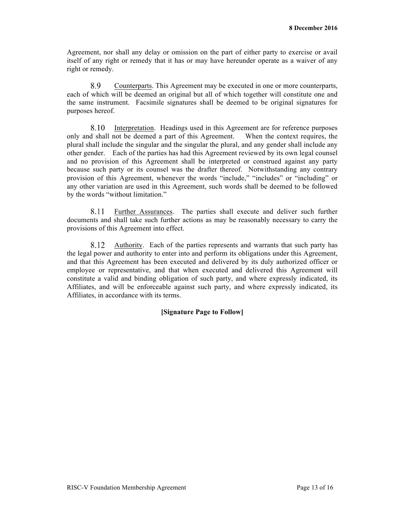Agreement, nor shall any delay or omission on the part of either party to exercise or avail itself of any right or remedy that it has or may have hereunder operate as a waiver of any right or remedy.

8.9 Counterparts. This Agreement may be executed in one or more counterparts, each of which will be deemed an original but all of which together will constitute one and the same instrument. Facsimile signatures shall be deemed to be original signatures for purposes hereof.

8.10 Interpretation. Headings used in this Agreement are for reference purposes only and shall not be deemed a part of this Agreement. When the context requires, the plural shall include the singular and the singular the plural, and any gender shall include any other gender. Each of the parties has had this Agreement reviewed by its own legal counsel and no provision of this Agreement shall be interpreted or construed against any party because such party or its counsel was the drafter thereof. Notwithstanding any contrary provision of this Agreement, whenever the words "include," "includes" or "including" or any other variation are used in this Agreement, such words shall be deemed to be followed by the words "without limitation."

Further Assurances. The parties shall execute and deliver such further 8.11 documents and shall take such further actions as may be reasonably necessary to carry the provisions of this Agreement into effect.

8.12 Authority. Each of the parties represents and warrants that such party has the legal power and authority to enter into and perform its obligations under this Agreement, and that this Agreement has been executed and delivered by its duly authorized officer or employee or representative, and that when executed and delivered this Agreement will constitute a valid and binding obligation of such party, and where expressly indicated, its Affiliates, and will be enforceable against such party, and where expressly indicated, its Affiliates, in accordance with its terms.

# **[Signature Page to Follow]**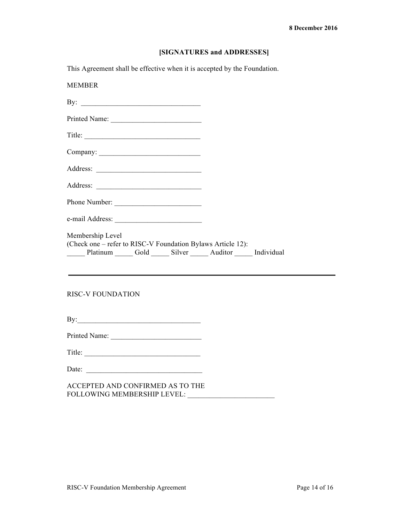#### **[SIGNATURES and ADDRESSES]**

This Agreement shall be effective when it is accepted by the Foundation.

MEMBER By: \_\_\_\_\_\_\_\_\_\_\_\_\_\_\_\_\_\_\_\_\_\_\_\_\_\_\_\_\_\_\_\_\_ Printed Name: Title: Company: \_\_\_\_\_\_\_\_\_\_\_\_\_\_\_\_\_\_\_\_\_\_\_\_\_\_\_\_ Address: \_\_\_\_\_\_\_\_\_\_\_\_\_\_\_\_\_\_\_\_\_\_\_\_\_\_\_\_\_ Address: Phone Number: \_\_\_\_\_\_\_\_\_\_\_\_\_\_\_\_\_\_\_\_\_\_\_\_ e-mail Address: \_\_\_\_\_\_\_\_\_\_\_\_\_\_\_\_\_\_\_\_\_\_\_\_ Membership Level (Check one – refer to RISC-V Foundation Bylaws Article 12): \_\_\_\_\_ Platinum \_\_\_\_\_ Gold \_\_\_\_\_ Silver \_\_\_\_\_ Auditor \_\_\_\_\_ Individual

### RISC-V FOUNDATION

| Bv<br>- |  |  |  |  |
|---------|--|--|--|--|
|         |  |  |  |  |

Printed Name: \_\_\_\_\_\_\_\_\_\_\_\_\_\_\_\_\_\_\_\_\_\_\_\_\_

Title:

Date:

ACCEPTED AND CONFIRMED AS TO THE FOLLOWING MEMBERSHIP LEVEL: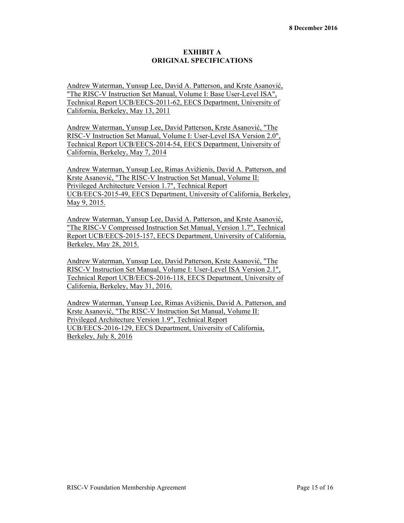### **EXHIBIT A ORIGINAL SPECIFICATIONS**

Andrew Waterman, Yunsup Lee, David A. Patterson, and Krste Asanović, "The RISC-V Instruction Set Manual, Volume I: Base User-Level ISA", Technical Report UCB/EECS-2011-62, EECS Department, University of California, Berkeley, May 13, 2011

Andrew Waterman, Yunsup Lee, David Patterson, Krste Asanović, "The RISC-V Instruction Set Manual, Volume I: User-Level ISA Version 2.0", Technical Report UCB/EECS-2014-54, EECS Department, University of California, Berkeley, May 7, 2014

Andrew Waterman, Yunsup Lee, Rimas Avižienis, David A. Patterson, and Krste Asanović, "The RISC-V Instruction Set Manual, Volume II: Privileged Architecture Version 1.7", Technical Report UCB/EECS-2015-49, EECS Department, University of California, Berkeley, May 9, 2015.

Andrew Waterman, Yunsup Lee, David A. Patterson, and Krste Asanović, "The RISC-V Compressed Instruction Set Manual, Version 1.7", Technical Report UCB/EECS-2015-157, EECS Department, University of California, Berkeley, May 28, 2015.

Andrew Waterman, Yunsup Lee, David Patterson, Krste Asanović, "The RISC-V Instruction Set Manual, Volume I: User-Level ISA Version 2.1", Technical Report UCB/EECS-2016-118, EECS Department, University of California, Berkeley, May 31, 2016.

Andrew Waterman, Yunsup Lee, Rimas Avižienis, David A. Patterson, and Krste Asanović, "The RISC-V Instruction Set Manual, Volume II: Privileged Architecture Version 1.9", Technical Report UCB/EECS-2016-129, EECS Department, University of California, Berkeley, July 8, 2016